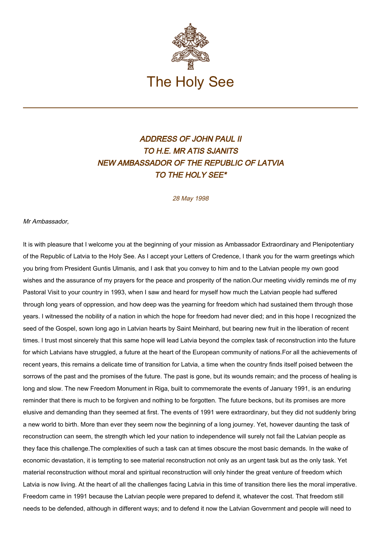

## ADDRESS OF JOHN PAUL II TO H.E. MR ATIS SJANITS NEW AMBASSADOR OF THE REPUBLIC OF LATVIA TO THE HOLY SEE\*

28 May 1998

## Mr Ambassador,

It is with pleasure that I welcome you at the beginning of your mission as Ambassador Extraordinary and Plenipotentiary of the Republic of Latvia to the Holy See. As I accept your Letters of Credence, I thank you for the warm greetings which you bring from President Guntis Ulmanis, and I ask that you convey to him and to the Latvian people my own good wishes and the assurance of my prayers for the peace and prosperity of the nation.Our meeting vividly reminds me of my Pastoral Visit to your country in 1993, when I saw and heard for myself how much the Latvian people had suffered through long years of oppression, and how deep was the yearning for freedom which had sustained them through those years. I witnessed the nobility of a nation in which the hope for freedom had never died; and in this hope I recognized the seed of the Gospel, sown long ago in Latvian hearts by Saint Meinhard, but bearing new fruit in the liberation of recent times. I trust most sincerely that this same hope will lead Latvia beyond the complex task of reconstruction into the future for which Latvians have struggled, a future at the heart of the European community of nations.For all the achievements of recent years, this remains a delicate time of transition for Latvia, a time when the country finds itself poised between the sorrows of the past and the promises of the future. The past is gone, but its wounds remain; and the process of healing is long and slow. The new Freedom Monument in Riga, built to commemorate the events of January 1991, is an enduring reminder that there is much to be forgiven and nothing to be forgotten. The future beckons, but its promises are more elusive and demanding than they seemed at first. The events of 1991 were extraordinary, but they did not suddenly bring a new world to birth. More than ever they seem now the beginning of a long journey. Yet, however daunting the task of reconstruction can seem, the strength which led your nation to independence will surely not fail the Latvian people as they face this challenge.The complexities of such a task can at times obscure the most basic demands. In the wake of economic devastation, it is tempting to see material reconstruction not only as an urgent task but as the only task. Yet material reconstruction without moral and spiritual reconstruction will only hinder the great venture of freedom which Latvia is now living. At the heart of all the challenges facing Latvia in this time of transition there lies the moral imperative. Freedom came in 1991 because the Latvian people were prepared to defend it, whatever the cost. That freedom still needs to be defended, although in different ways; and to defend it now the Latvian Government and people will need to